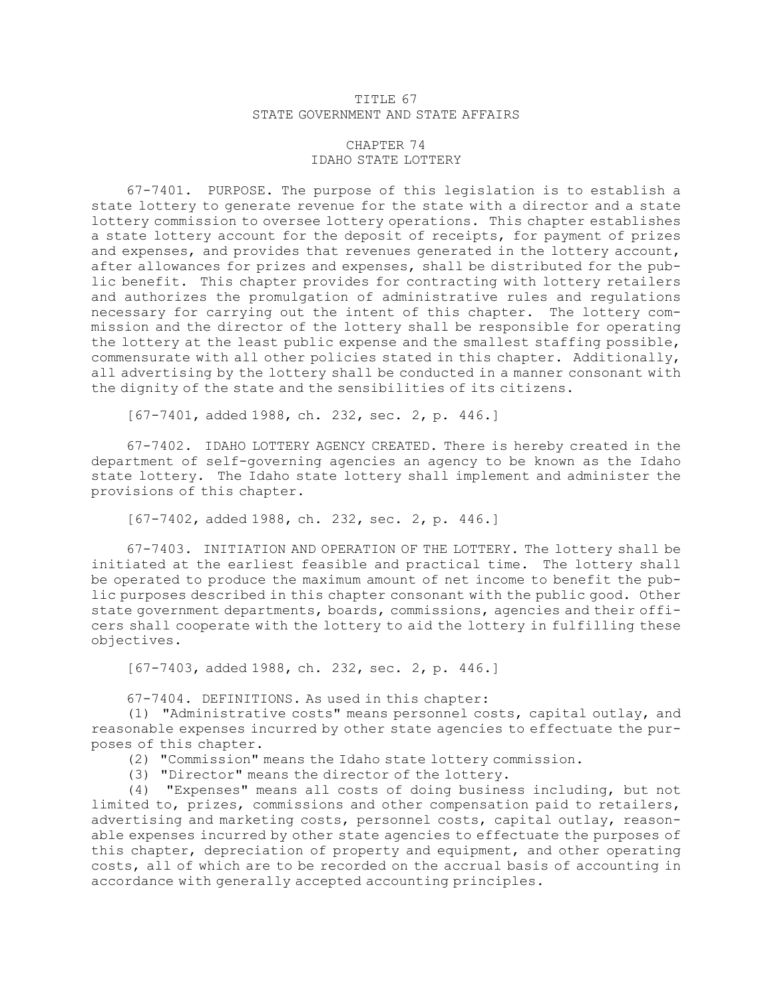## TITLE 67 STATE GOVERNMENT AND STATE AFFAIRS

## CHAPTER 74 IDAHO STATE LOTTERY

67-7401. PURPOSE. The purpose of this legislation is to establish <sup>a</sup> state lottery to generate revenue for the state with <sup>a</sup> director and <sup>a</sup> state lottery commission to oversee lottery operations. This chapter establishes <sup>a</sup> state lottery account for the deposit of receipts, for payment of prizes and expenses, and provides that revenues generated in the lottery account, after allowances for prizes and expenses, shall be distributed for the public benefit. This chapter provides for contracting with lottery retailers and authorizes the promulgation of administrative rules and regulations necessary for carrying out the intent of this chapter. The lottery commission and the director of the lottery shall be responsible for operating the lottery at the least public expense and the smallest staffing possible, commensurate with all other policies stated in this chapter. Additionally, all advertising by the lottery shall be conducted in <sup>a</sup> manner consonant with the dignity of the state and the sensibilities of its citizens.

[67-7401, added 1988, ch. 232, sec. 2, p. 446.]

67-7402. IDAHO LOTTERY AGENCY CREATED. There is hereby created in the department of self-governing agencies an agency to be known as the Idaho state lottery. The Idaho state lottery shall implement and administer the provisions of this chapter.

[67-7402, added 1988, ch. 232, sec. 2, p. 446.]

67-7403. INITIATION AND OPERATION OF THE LOTTERY. The lottery shall be initiated at the earliest feasible and practical time. The lottery shall be operated to produce the maximum amount of net income to benefit the public purposes described in this chapter consonant with the public good. Other state government departments, boards, commissions, agencies and their officers shall cooperate with the lottery to aid the lottery in fulfilling these objectives.

[67-7403, added 1988, ch. 232, sec. 2, p. 446.]

67-7404. DEFINITIONS. As used in this chapter:

(1) "Administrative costs" means personnel costs, capital outlay, and reasonable expenses incurred by other state agencies to effectuate the purposes of this chapter.

(2) "Commission" means the Idaho state lottery commission.

(3) "Director" means the director of the lottery.

(4) "Expenses" means all costs of doing business including, but not limited to, prizes, commissions and other compensation paid to retailers, advertising and marketing costs, personnel costs, capital outlay, reasonable expenses incurred by other state agencies to effectuate the purposes of this chapter, depreciation of property and equipment, and other operating costs, all of which are to be recorded on the accrual basis of accounting in accordance with generally accepted accounting principles.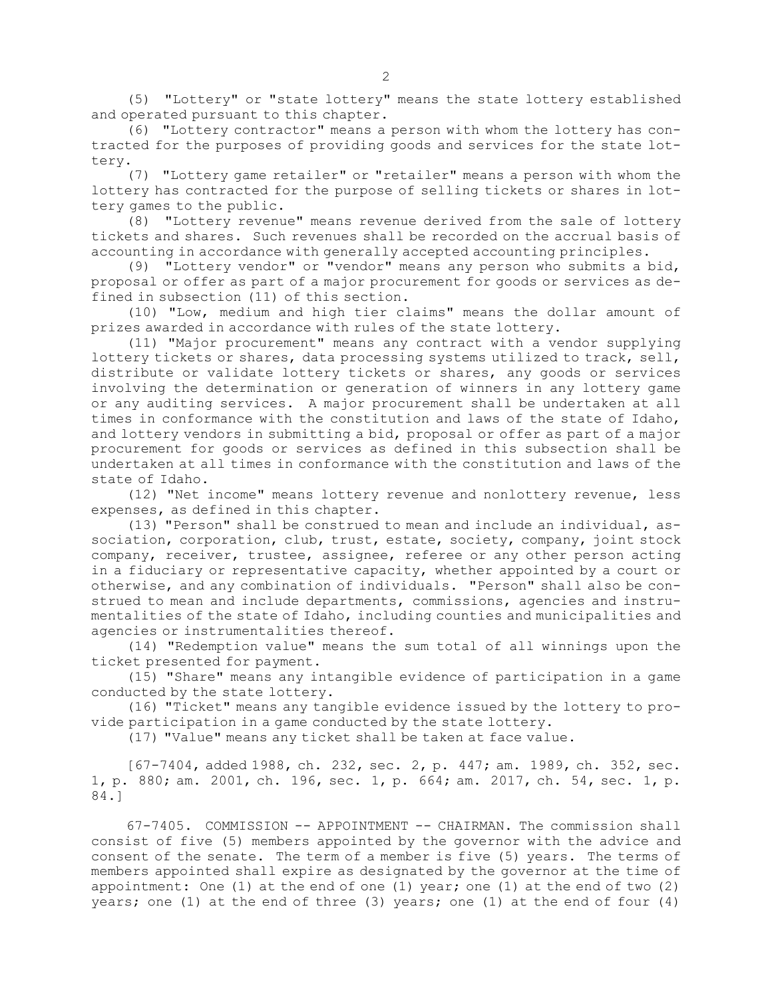(5) "Lottery" or "state lottery" means the state lottery established and operated pursuant to this chapter.

(6) "Lottery contractor" means <sup>a</sup> person with whom the lottery has contracted for the purposes of providing goods and services for the state lottery.

(7) "Lottery game retailer" or "retailer" means <sup>a</sup> person with whom the lottery has contracted for the purpose of selling tickets or shares in lottery games to the public.

(8) "Lottery revenue" means revenue derived from the sale of lottery tickets and shares. Such revenues shall be recorded on the accrual basis of accounting in accordance with generally accepted accounting principles.

(9) "Lottery vendor" or "vendor" means any person who submits <sup>a</sup> bid, proposal or offer as part of <sup>a</sup> major procurement for goods or services as defined in subsection (11) of this section.

(10) "Low, medium and high tier claims" means the dollar amount of prizes awarded in accordance with rules of the state lottery.

(11) "Major procurement" means any contract with <sup>a</sup> vendor supplying lottery tickets or shares, data processing systems utilized to track, sell, distribute or validate lottery tickets or shares, any goods or services involving the determination or generation of winners in any lottery game or any auditing services. <sup>A</sup> major procurement shall be undertaken at all times in conformance with the constitution and laws of the state of Idaho, and lottery vendors in submitting <sup>a</sup> bid, proposal or offer as part of <sup>a</sup> major procurement for goods or services as defined in this subsection shall be undertaken at all times in conformance with the constitution and laws of the state of Idaho.

(12) "Net income" means lottery revenue and nonlottery revenue, less expenses, as defined in this chapter.

(13) "Person" shall be construed to mean and include an individual, association, corporation, club, trust, estate, society, company, joint stock company, receiver, trustee, assignee, referee or any other person acting in <sup>a</sup> fiduciary or representative capacity, whether appointed by <sup>a</sup> court or otherwise, and any combination of individuals. "Person" shall also be construed to mean and include departments, commissions, agencies and instrumentalities of the state of Idaho, including counties and municipalities and agencies or instrumentalities thereof.

(14) "Redemption value" means the sum total of all winnings upon the ticket presented for payment.

(15) "Share" means any intangible evidence of participation in <sup>a</sup> game conducted by the state lottery.

(16) "Ticket" means any tangible evidence issued by the lottery to provide participation in <sup>a</sup> game conducted by the state lottery.

(17) "Value" means any ticket shall be taken at face value.

[67-7404, added 1988, ch. 232, sec. 2, p. 447; am. 1989, ch. 352, sec. 1, p. 880; am. 2001, ch. 196, sec. 1, p. 664; am. 2017, ch. 54, sec. 1, p. 84.]

67-7405. COMMISSION -- APPOINTMENT -- CHAIRMAN. The commission shall consist of five (5) members appointed by the governor with the advice and consent of the senate. The term of <sup>a</sup> member is five (5) years. The terms of members appointed shall expire as designated by the governor at the time of appointment: One (1) at the end of one (1) year; one (1) at the end of two (2) years; one (1) at the end of three (3) years; one (1) at the end of four (4)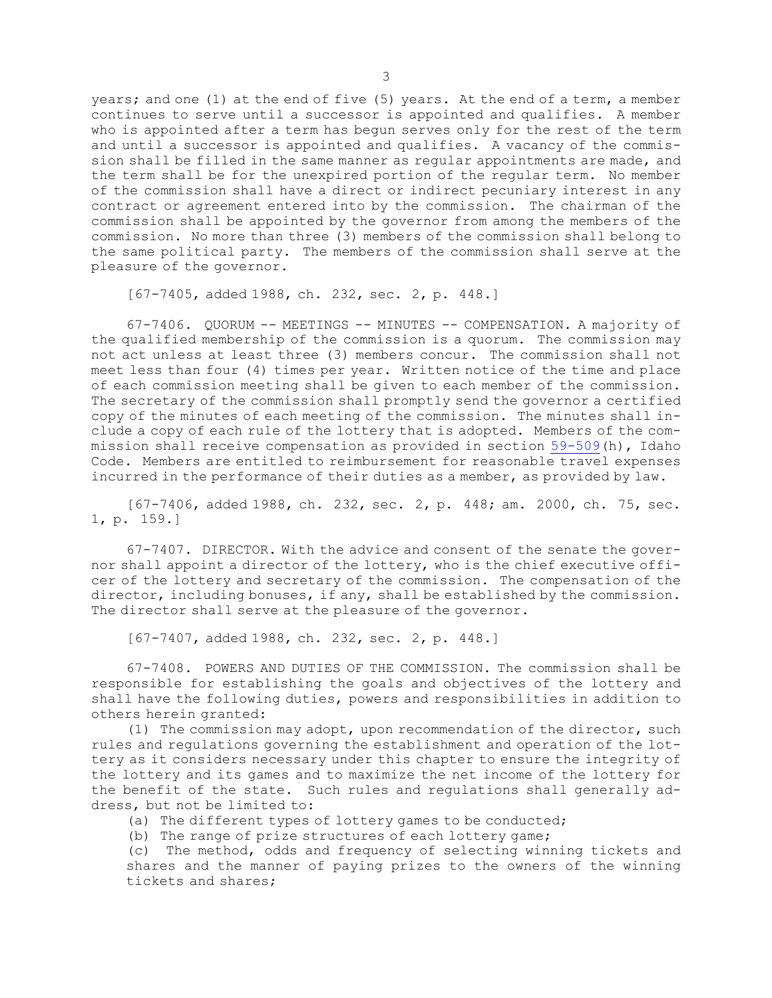years; and one (1) at the end of five (5) years. At the end of <sup>a</sup> term, <sup>a</sup> member continues to serve until <sup>a</sup> successor is appointed and qualifies. <sup>A</sup> member who is appointed after <sup>a</sup> term has begun serves only for the rest of the term and until <sup>a</sup> successor is appointed and qualifies. <sup>A</sup> vacancy of the commission shall be filled in the same manner as regular appointments are made, and the term shall be for the unexpired portion of the regular term. No member of the commission shall have <sup>a</sup> direct or indirect pecuniary interest in any contract or agreement entered into by the commission. The chairman of the commission shall be appointed by the governor from among the members of the commission. No more than three (3) members of the commission shall belong to the same political party. The members of the commission shall serve at the pleasure of the governor.

[67-7405, added 1988, ch. 232, sec. 2, p. 448.]

67-7406. QUORUM -- MEETINGS -- MINUTES -- COMPENSATION. <sup>A</sup> majority of the qualified membership of the commission is <sup>a</sup> quorum. The commission may not act unless at least three (3) members concur. The commission shall not meet less than four (4) times per year. Written notice of the time and place of each commission meeting shall be given to each member of the commission. The secretary of the commission shall promptly send the governor <sup>a</sup> certified copy of the minutes of each meeting of the commission. The minutes shall include <sup>a</sup> copy of each rule of the lottery that is adopted. Members of the commission shall receive compensation as provided in section [59-509](https://legislature.idaho.gov/statutesrules/idstat/Title59/T59CH5/SECT59-509)(h), Idaho Code. Members are entitled to reimbursement for reasonable travel expenses incurred in the performance of their duties as <sup>a</sup> member, as provided by law.

[67-7406, added 1988, ch. 232, sec. 2, p. 448; am. 2000, ch. 75, sec. 1, p. 159.]

67-7407. DIRECTOR. With the advice and consent of the senate the governor shall appoint <sup>a</sup> director of the lottery, who is the chief executive officer of the lottery and secretary of the commission. The compensation of the director, including bonuses, if any, shall be established by the commission. The director shall serve at the pleasure of the governor.

[67-7407, added 1988, ch. 232, sec. 2, p. 448.]

67-7408. POWERS AND DUTIES OF THE COMMISSION. The commission shall be responsible for establishing the goals and objectives of the lottery and shall have the following duties, powers and responsibilities in addition to others herein granted:

(1) The commission may adopt, upon recommendation of the director, such rules and regulations governing the establishment and operation of the lottery as it considers necessary under this chapter to ensure the integrity of the lottery and its games and to maximize the net income of the lottery for the benefit of the state. Such rules and regulations shall generally address, but not be limited to:

(a) The different types of lottery games to be conducted;

(b) The range of prize structures of each lottery game;

(c) The method, odds and frequency of selecting winning tickets and shares and the manner of paying prizes to the owners of the winning tickets and shares;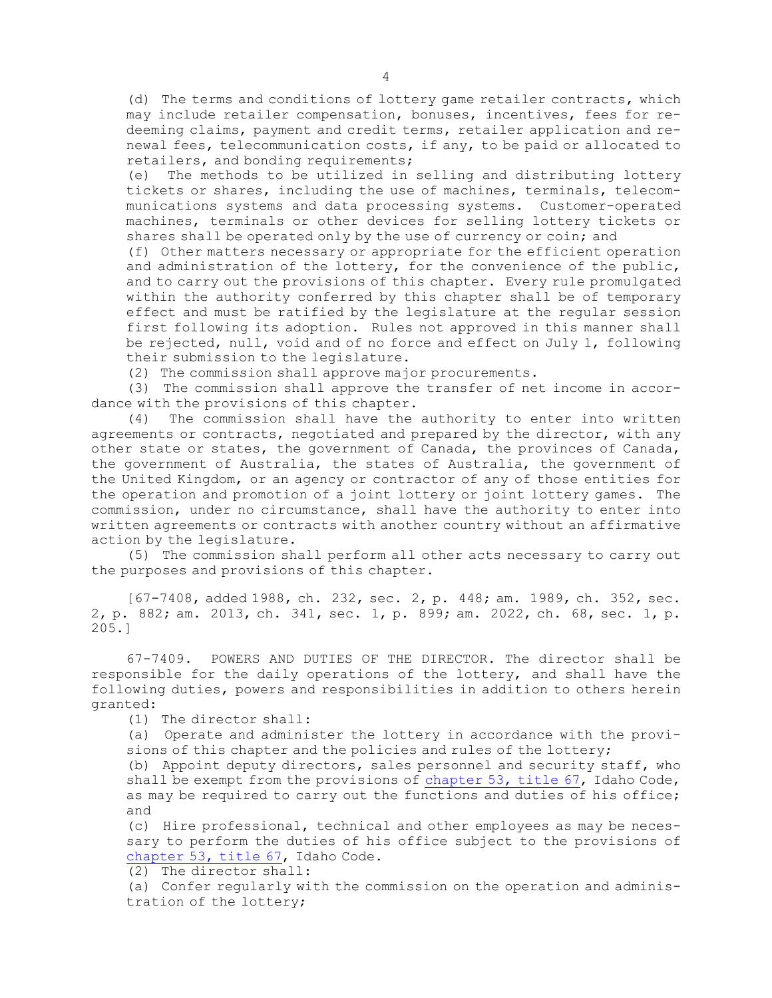(d) The terms and conditions of lottery game retailer contracts, which may include retailer compensation, bonuses, incentives, fees for redeeming claims, payment and credit terms, retailer application and renewal fees, telecommunication costs, if any, to be paid or allocated to retailers, and bonding requirements;

(e) The methods to be utilized in selling and distributing lottery tickets or shares, including the use of machines, terminals, telecommunications systems and data processing systems. Customer-operated machines, terminals or other devices for selling lottery tickets or shares shall be operated only by the use of currency or coin; and

(f) Other matters necessary or appropriate for the efficient operation and administration of the lottery, for the convenience of the public, and to carry out the provisions of this chapter. Every rule promulgated within the authority conferred by this chapter shall be of temporary effect and must be ratified by the legislature at the regular session first following its adoption. Rules not approved in this manner shall be rejected, null, void and of no force and effect on July 1, following their submission to the legislature.

(2) The commission shall approve major procurements.

(3) The commission shall approve the transfer of net income in accordance with the provisions of this chapter.

(4) The commission shall have the authority to enter into written agreements or contracts, negotiated and prepared by the director, with any other state or states, the government of Canada, the provinces of Canada, the government of Australia, the states of Australia, the government of the United Kingdom, or an agency or contractor of any of those entities for the operation and promotion of <sup>a</sup> joint lottery or joint lottery games. The commission, under no circumstance, shall have the authority to enter into written agreements or contracts with another country without an affirmative action by the legislature.

(5) The commission shall perform all other acts necessary to carry out the purposes and provisions of this chapter.

[67-7408, added 1988, ch. 232, sec. 2, p. 448; am. 1989, ch. 352, sec. 2, p. 882; am. 2013, ch. 341, sec. 1, p. 899; am. 2022, ch. 68, sec. 1, p. 205.]

67-7409. POWERS AND DUTIES OF THE DIRECTOR. The director shall be responsible for the daily operations of the lottery, and shall have the following duties, powers and responsibilities in addition to others herein granted:

(1) The director shall:

(a) Operate and administer the lottery in accordance with the provisions of this chapter and the policies and rules of the lottery;

(b) Appoint deputy directors, sales personnel and security staff, who shall be exempt from the provisions of [chapter](https://legislature.idaho.gov/statutesrules/idstat/Title67/T67CH53) 53, title 67, Idaho Code, as may be required to carry out the functions and duties of his office; and

(c) Hire professional, technical and other employees as may be necessary to perform the duties of his office subject to the provisions of [chapter](https://legislature.idaho.gov/statutesrules/idstat/Title67/T67CH53) 53, title 67, Idaho Code.

(2) The director shall:

(a) Confer regularly with the commission on the operation and administration of the lottery;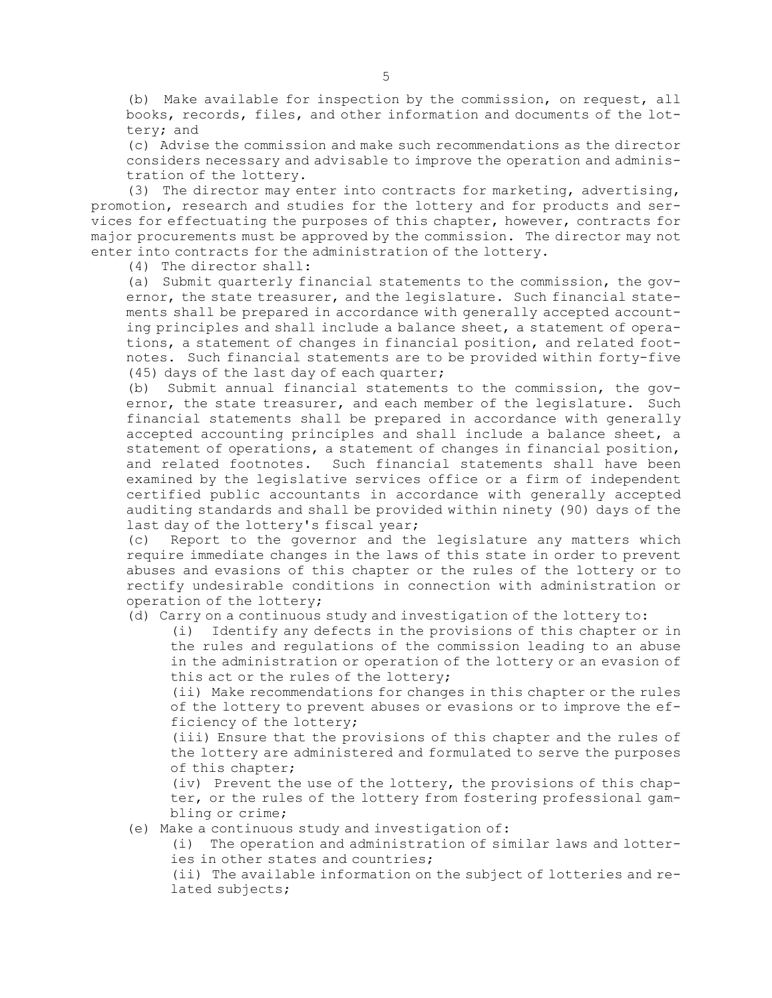(b) Make available for inspection by the commission, on request, all books, records, files, and other information and documents of the lottery; and

(c) Advise the commission and make such recommendations as the director considers necessary and advisable to improve the operation and administration of the lottery.

(3) The director may enter into contracts for marketing, advertising, promotion, research and studies for the lottery and for products and services for effectuating the purposes of this chapter, however, contracts for major procurements must be approved by the commission. The director may not enter into contracts for the administration of the lottery.

(4) The director shall:

(a) Submit quarterly financial statements to the commission, the governor, the state treasurer, and the legislature. Such financial statements shall be prepared in accordance with generally accepted accounting principles and shall include <sup>a</sup> balance sheet, <sup>a</sup> statement of operations, <sup>a</sup> statement of changes in financial position, and related footnotes. Such financial statements are to be provided within forty-five (45) days of the last day of each quarter;

(b) Submit annual financial statements to the commission, the governor, the state treasurer, and each member of the legislature. Such financial statements shall be prepared in accordance with generally accepted accounting principles and shall include <sup>a</sup> balance sheet, <sup>a</sup> statement of operations, <sup>a</sup> statement of changes in financial position, and related footnotes. Such financial statements shall have been examined by the legislative services office or <sup>a</sup> firm of independent certified public accountants in accordance with generally accepted auditing standards and shall be provided within ninety (90) days of the last day of the lottery's fiscal year;

(c) Report to the governor and the legislature any matters which require immediate changes in the laws of this state in order to prevent abuses and evasions of this chapter or the rules of the lottery or to rectify undesirable conditions in connection with administration or operation of the lottery;

(d) Carry on <sup>a</sup> continuous study and investigation of the lottery to:

(i) Identify any defects in the provisions of this chapter or in the rules and regulations of the commission leading to an abuse in the administration or operation of the lottery or an evasion of this act or the rules of the lottery;

(ii) Make recommendations for changes in this chapter or the rules of the lottery to prevent abuses or evasions or to improve the efficiency of the lottery;

(iii) Ensure that the provisions of this chapter and the rules of the lottery are administered and formulated to serve the purposes of this chapter;

(iv) Prevent the use of the lottery, the provisions of this chapter, or the rules of the lottery from fostering professional gambling or crime;

(e) Make <sup>a</sup> continuous study and investigation of:

(i) The operation and administration of similar laws and lotteries in other states and countries;

(ii) The available information on the subject of lotteries and related subjects;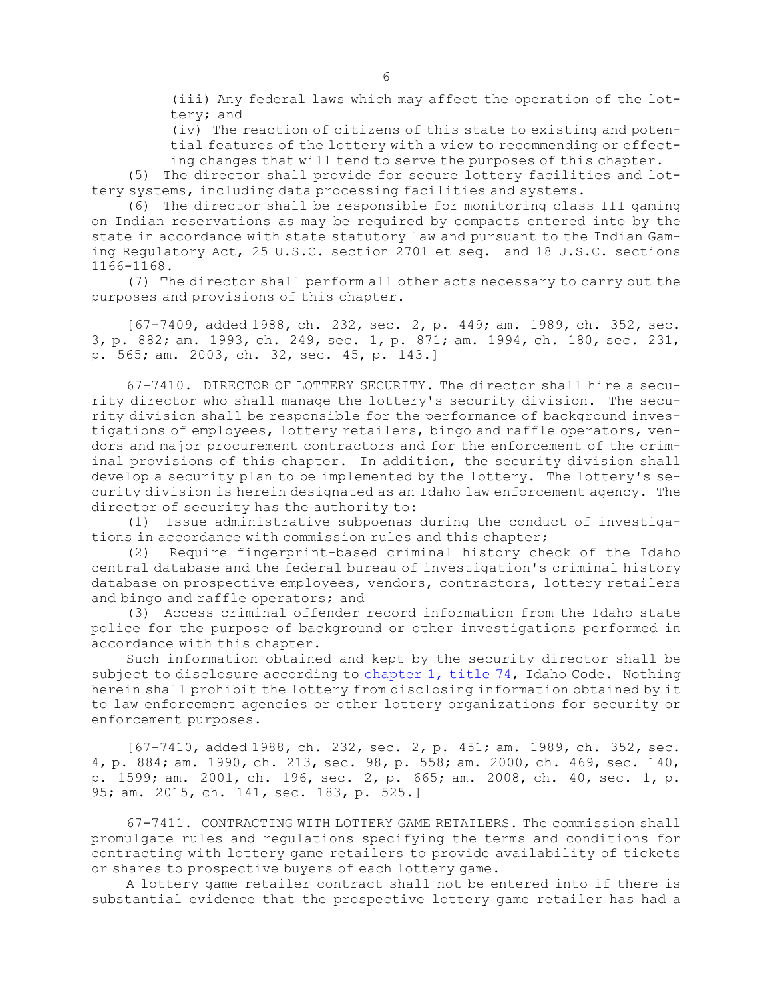(iii) Any federal laws which may affect the operation of the lottery; and

(iv) The reaction of citizens of this state to existing and potential features of the lottery with <sup>a</sup> view to recommending or effecting changes that will tend to serve the purposes of this chapter.

(5) The director shall provide for secure lottery facilities and lottery systems, including data processing facilities and systems.

(6) The director shall be responsible for monitoring class III gaming on Indian reservations as may be required by compacts entered into by the state in accordance with state statutory law and pursuant to the Indian Gaming Regulatory Act, 25 U.S.C. section 2701 et seq. and 18 U.S.C. sections 1166-1168.

(7) The director shall perform all other acts necessary to carry out the purposes and provisions of this chapter.

[67-7409, added 1988, ch. 232, sec. 2, p. 449; am. 1989, ch. 352, sec. 3, p. 882; am. 1993, ch. 249, sec. 1, p. 871; am. 1994, ch. 180, sec. 231, p. 565; am. 2003, ch. 32, sec. 45, p. 143.]

67-7410. DIRECTOR OF LOTTERY SECURITY. The director shall hire <sup>a</sup> security director who shall manage the lottery's security division. The security division shall be responsible for the performance of background investigations of employees, lottery retailers, bingo and raffle operators, vendors and major procurement contractors and for the enforcement of the criminal provisions of this chapter. In addition, the security division shall develop <sup>a</sup> security plan to be implemented by the lottery. The lottery's security division is herein designated as an Idaho law enforcement agency. The director of security has the authority to:

(1) Issue administrative subpoenas during the conduct of investigations in accordance with commission rules and this chapter;

(2) Require fingerprint-based criminal history check of the Idaho central database and the federal bureau of investigation's criminal history database on prospective employees, vendors, contractors, lottery retailers and bingo and raffle operators; and

(3) Access criminal offender record information from the Idaho state police for the purpose of background or other investigations performed in accordance with this chapter.

Such information obtained and kept by the security director shall be subject to disclosure according to [chapter](https://legislature.idaho.gov/statutesrules/idstat/Title74/T74CH1) 1, title 74, Idaho Code. Nothing herein shall prohibit the lottery from disclosing information obtained by it to law enforcement agencies or other lottery organizations for security or enforcement purposes.

[67-7410, added 1988, ch. 232, sec. 2, p. 451; am. 1989, ch. 352, sec. 4, p. 884; am. 1990, ch. 213, sec. 98, p. 558; am. 2000, ch. 469, sec. 140, p. 1599; am. 2001, ch. 196, sec. 2, p. 665; am. 2008, ch. 40, sec. 1, p. 95; am. 2015, ch. 141, sec. 183, p. 525.]

67-7411. CONTRACTING WITH LOTTERY GAME RETAILERS. The commission shall promulgate rules and regulations specifying the terms and conditions for contracting with lottery game retailers to provide availability of tickets or shares to prospective buyers of each lottery game.

<sup>A</sup> lottery game retailer contract shall not be entered into if there is substantial evidence that the prospective lottery game retailer has had <sup>a</sup>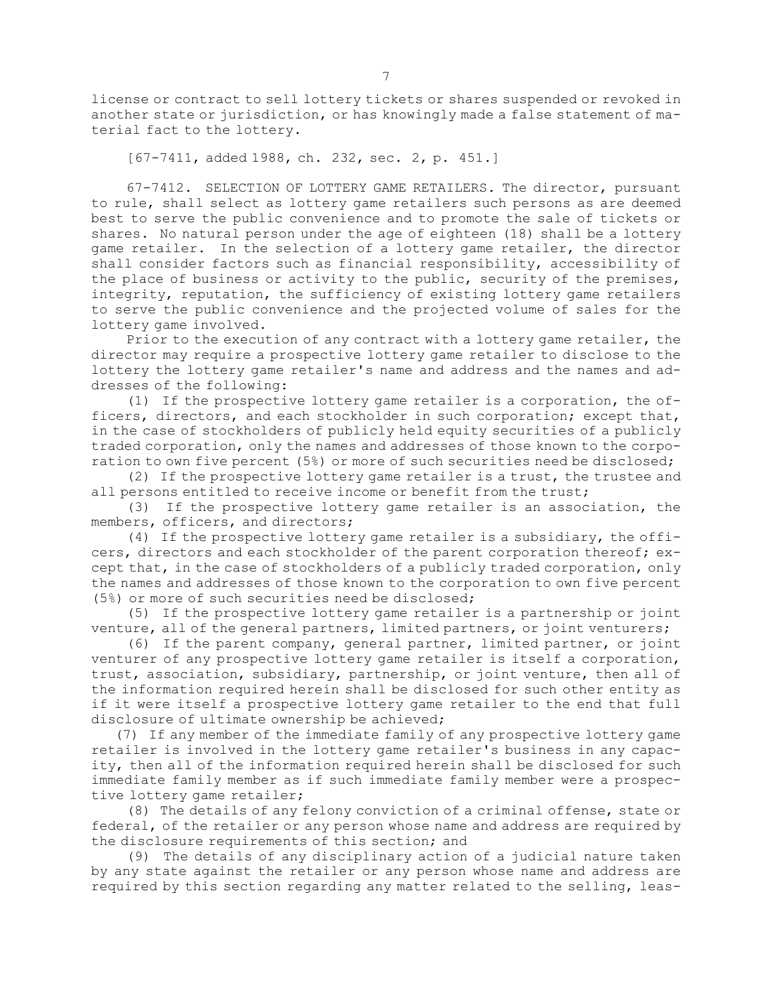license or contract to sell lottery tickets or shares suspended or revoked in another state or jurisdiction, or has knowingly made <sup>a</sup> false statement of material fact to the lottery.

[67-7411, added 1988, ch. 232, sec. 2, p. 451.]

67-7412. SELECTION OF LOTTERY GAME RETAILERS. The director, pursuant to rule, shall select as lottery game retailers such persons as are deemed best to serve the public convenience and to promote the sale of tickets or shares. No natural person under the age of eighteen (18) shall be <sup>a</sup> lottery game retailer. In the selection of <sup>a</sup> lottery game retailer, the director shall consider factors such as financial responsibility, accessibility of the place of business or activity to the public, security of the premises, integrity, reputation, the sufficiency of existing lottery game retailers to serve the public convenience and the projected volume of sales for the lottery game involved.

Prior to the execution of any contract with <sup>a</sup> lottery game retailer, the director may require <sup>a</sup> prospective lottery game retailer to disclose to the lottery the lottery game retailer's name and address and the names and addresses of the following:

(1) If the prospective lottery game retailer is <sup>a</sup> corporation, the officers, directors, and each stockholder in such corporation; except that, in the case of stockholders of publicly held equity securities of <sup>a</sup> publicly traded corporation, only the names and addresses of those known to the corporation to own five percent (5%) or more of such securities need be disclosed;

(2) If the prospective lottery game retailer is <sup>a</sup> trust, the trustee and all persons entitled to receive income or benefit from the trust;

(3) If the prospective lottery game retailer is an association, the members, officers, and directors;

(4) If the prospective lottery game retailer is <sup>a</sup> subsidiary, the officers, directors and each stockholder of the parent corporation thereof; except that, in the case of stockholders of <sup>a</sup> publicly traded corporation, only the names and addresses of those known to the corporation to own five percent (5%) or more of such securities need be disclosed;

(5) If the prospective lottery game retailer is <sup>a</sup> partnership or joint venture, all of the general partners, limited partners, or joint venturers;

(6) If the parent company, general partner, limited partner, or joint venturer of any prospective lottery game retailer is itself <sup>a</sup> corporation, trust, association, subsidiary, partnership, or joint venture, then all of the information required herein shall be disclosed for such other entity as if it were itself <sup>a</sup> prospective lottery game retailer to the end that full disclosure of ultimate ownership be achieved;

(7) If any member of the immediate family of any prospective lottery game retailer is involved in the lottery game retailer's business in any capacity, then all of the information required herein shall be disclosed for such immediate family member as if such immediate family member were <sup>a</sup> prospective lottery game retailer;

(8) The details of any felony conviction of <sup>a</sup> criminal offense, state or federal, of the retailer or any person whose name and address are required by the disclosure requirements of this section; and

(9) The details of any disciplinary action of <sup>a</sup> judicial nature taken by any state against the retailer or any person whose name and address are required by this section regarding any matter related to the selling, leas-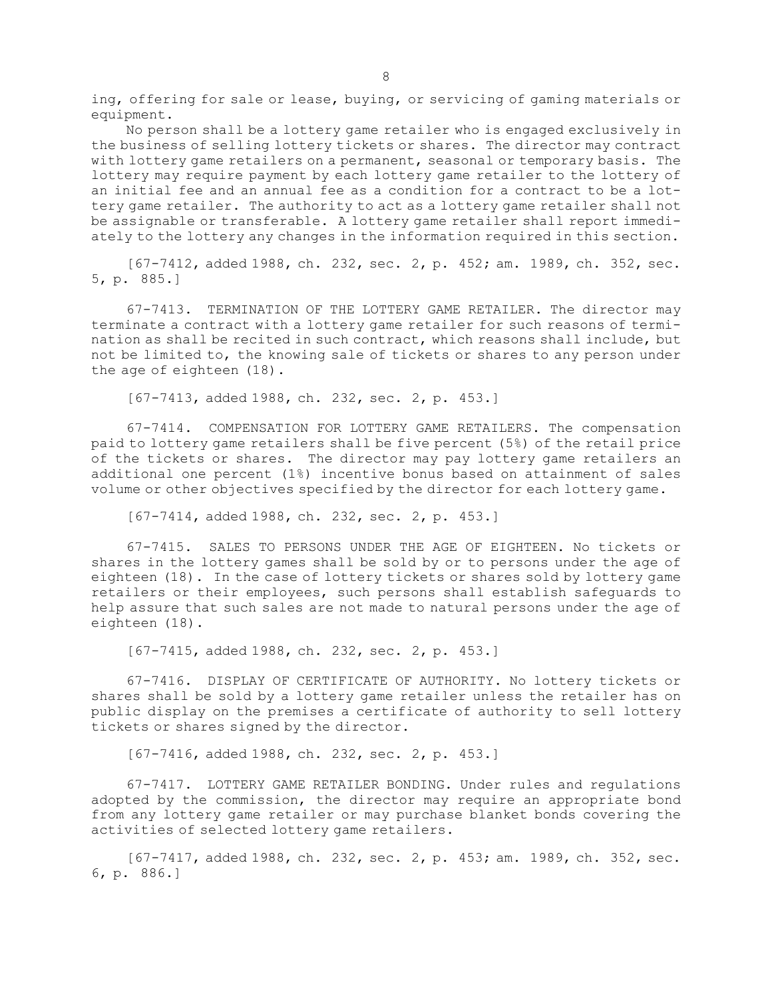ing, offering for sale or lease, buying, or servicing of gaming materials or equipment.

No person shall be <sup>a</sup> lottery game retailer who is engaged exclusively in the business of selling lottery tickets or shares. The director may contract with lottery game retailers on <sup>a</sup> permanent, seasonal or temporary basis. The lottery may require payment by each lottery game retailer to the lottery of an initial fee and an annual fee as <sup>a</sup> condition for <sup>a</sup> contract to be <sup>a</sup> lottery game retailer. The authority to act as <sup>a</sup> lottery game retailer shall not be assignable or transferable. <sup>A</sup> lottery game retailer shall report immediately to the lottery any changes in the information required in this section.

[67-7412, added 1988, ch. 232, sec. 2, p. 452; am. 1989, ch. 352, sec. 5, p. 885.]

67-7413. TERMINATION OF THE LOTTERY GAME RETAILER. The director may terminate <sup>a</sup> contract with <sup>a</sup> lottery game retailer for such reasons of termination as shall be recited in such contract, which reasons shall include, but not be limited to, the knowing sale of tickets or shares to any person under the age of eighteen (18).

[67-7413, added 1988, ch. 232, sec. 2, p. 453.]

67-7414. COMPENSATION FOR LOTTERY GAME RETAILERS. The compensation paid to lottery game retailers shall be five percent (5%) of the retail price of the tickets or shares. The director may pay lottery game retailers an additional one percent (1%) incentive bonus based on attainment of sales volume or other objectives specified by the director for each lottery game.

[67-7414, added 1988, ch. 232, sec. 2, p. 453.]

67-7415. SALES TO PERSONS UNDER THE AGE OF EIGHTEEN. No tickets or shares in the lottery games shall be sold by or to persons under the age of eighteen (18). In the case of lottery tickets or shares sold by lottery game retailers or their employees, such persons shall establish safeguards to help assure that such sales are not made to natural persons under the age of eighteen (18).

[67-7415, added 1988, ch. 232, sec. 2, p. 453.]

67-7416. DISPLAY OF CERTIFICATE OF AUTHORITY. No lottery tickets or shares shall be sold by <sup>a</sup> lottery game retailer unless the retailer has on public display on the premises <sup>a</sup> certificate of authority to sell lottery tickets or shares signed by the director.

[67-7416, added 1988, ch. 232, sec. 2, p. 453.]

67-7417. LOTTERY GAME RETAILER BONDING. Under rules and regulations adopted by the commission, the director may require an appropriate bond from any lottery game retailer or may purchase blanket bonds covering the activities of selected lottery game retailers.

[67-7417, added 1988, ch. 232, sec. 2, p. 453; am. 1989, ch. 352, sec. 6, p. 886.]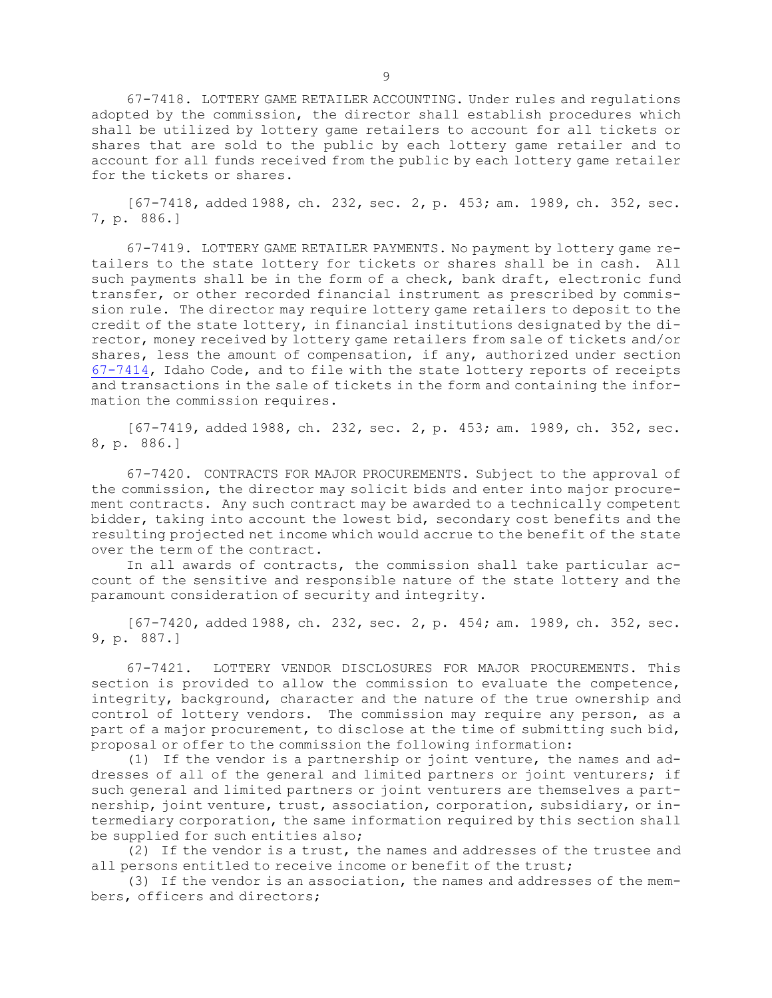67-7418. LOTTERY GAME RETAILER ACCOUNTING. Under rules and regulations adopted by the commission, the director shall establish procedures which shall be utilized by lottery game retailers to account for all tickets or shares that are sold to the public by each lottery game retailer and to account for all funds received from the public by each lottery game retailer for the tickets or shares.

[67-7418, added 1988, ch. 232, sec. 2, p. 453; am. 1989, ch. 352, sec. 7, p. 886.]

67-7419. LOTTERY GAME RETAILER PAYMENTS. No payment by lottery game retailers to the state lottery for tickets or shares shall be in cash. All such payments shall be in the form of <sup>a</sup> check, bank draft, electronic fund transfer, or other recorded financial instrument as prescribed by commission rule. The director may require lottery game retailers to deposit to the credit of the state lottery, in financial institutions designated by the director, money received by lottery game retailers from sale of tickets and/or shares, less the amount of compensation, if any, authorized under section [67-7414](https://legislature.idaho.gov/statutesrules/idstat/Title67/T67CH74/SECT67-7414), Idaho Code, and to file with the state lottery reports of receipts and transactions in the sale of tickets in the form and containing the information the commission requires.

[67-7419, added 1988, ch. 232, sec. 2, p. 453; am. 1989, ch. 352, sec. 8, p. 886.]

67-7420. CONTRACTS FOR MAJOR PROCUREMENTS. Subject to the approval of the commission, the director may solicit bids and enter into major procurement contracts. Any such contract may be awarded to <sup>a</sup> technically competent bidder, taking into account the lowest bid, secondary cost benefits and the resulting projected net income which would accrue to the benefit of the state over the term of the contract.

In all awards of contracts, the commission shall take particular account of the sensitive and responsible nature of the state lottery and the paramount consideration of security and integrity.

[67-7420, added 1988, ch. 232, sec. 2, p. 454; am. 1989, ch. 352, sec. 9, p. 887.]

67-7421. LOTTERY VENDOR DISCLOSURES FOR MAJOR PROCUREMENTS. This section is provided to allow the commission to evaluate the competence, integrity, background, character and the nature of the true ownership and control of lottery vendors. The commission may require any person, as <sup>a</sup> part of <sup>a</sup> major procurement, to disclose at the time of submitting such bid, proposal or offer to the commission the following information:

(1) If the vendor is <sup>a</sup> partnership or joint venture, the names and addresses of all of the general and limited partners or joint venturers; if such general and limited partners or joint venturers are themselves <sup>a</sup> partnership, joint venture, trust, association, corporation, subsidiary, or intermediary corporation, the same information required by this section shall be supplied for such entities also;

(2) If the vendor is <sup>a</sup> trust, the names and addresses of the trustee and all persons entitled to receive income or benefit of the trust;

(3) If the vendor is an association, the names and addresses of the members, officers and directors;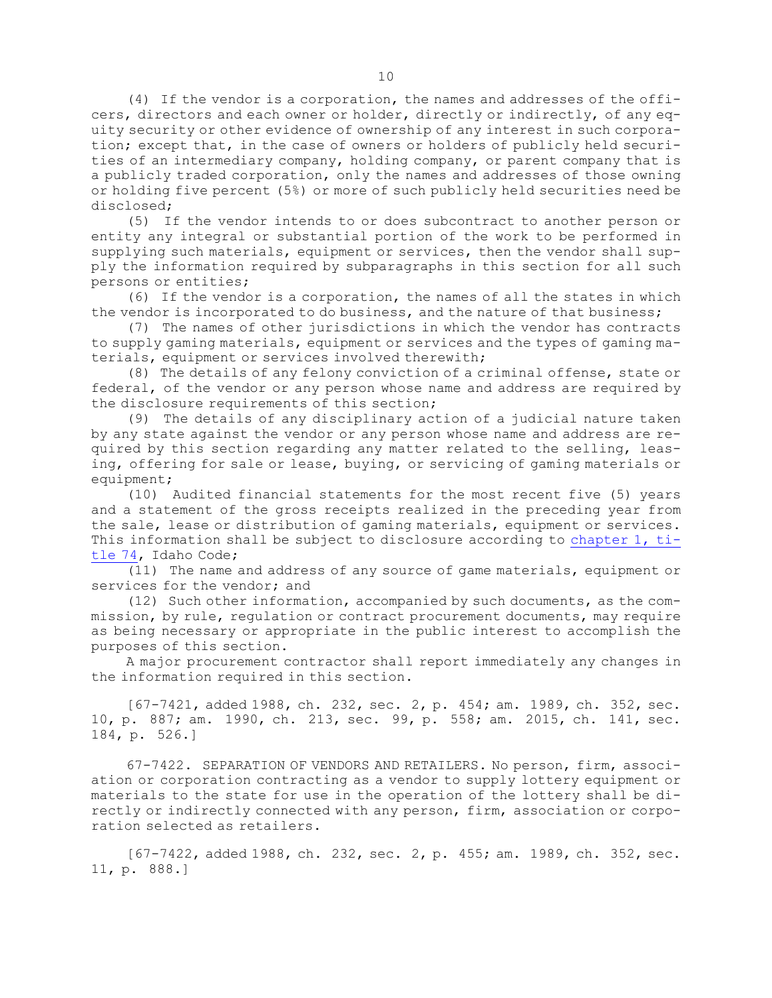(4) If the vendor is <sup>a</sup> corporation, the names and addresses of the officers, directors and each owner or holder, directly or indirectly, of any equity security or other evidence of ownership of any interest in such corporation; except that, in the case of owners or holders of publicly held securities of an intermediary company, holding company, or parent company that is <sup>a</sup> publicly traded corporation, only the names and addresses of those owning or holding five percent (5%) or more of such publicly held securities need be disclosed;

(5) If the vendor intends to or does subcontract to another person or entity any integral or substantial portion of the work to be performed in supplying such materials, equipment or services, then the vendor shall supply the information required by subparagraphs in this section for all such persons or entities;

(6) If the vendor is <sup>a</sup> corporation, the names of all the states in which the vendor is incorporated to do business, and the nature of that business;

(7) The names of other jurisdictions in which the vendor has contracts to supply gaming materials, equipment or services and the types of gaming materials, equipment or services involved therewith;

(8) The details of any felony conviction of <sup>a</sup> criminal offense, state or federal, of the vendor or any person whose name and address are required by the disclosure requirements of this section;

(9) The details of any disciplinary action of <sup>a</sup> judicial nature taken by any state against the vendor or any person whose name and address are required by this section regarding any matter related to the selling, leasing, offering for sale or lease, buying, or servicing of gaming materials or equipment;

(10) Audited financial statements for the most recent five (5) years and <sup>a</sup> statement of the gross receipts realized in the preceding year from the sale, lease or distribution of gaming materials, equipment or services. This information shall be subject to disclosure according to [chapter](https://legislature.idaho.gov/statutesrules/idstat/Title74/T74CH1) 1, ti[tle](https://legislature.idaho.gov/statutesrules/idstat/Title74/T74CH1) 74, Idaho Code;

(11) The name and address of any source of game materials, equipment or services for the vendor; and

(12) Such other information, accompanied by such documents, as the commission, by rule, regulation or contract procurement documents, may require as being necessary or appropriate in the public interest to accomplish the purposes of this section.

<sup>A</sup> major procurement contractor shall report immediately any changes in the information required in this section.

[67-7421, added 1988, ch. 232, sec. 2, p. 454; am. 1989, ch. 352, sec. 10, p. 887; am. 1990, ch. 213, sec. 99, p. 558; am. 2015, ch. 141, sec. 184, p. 526.]

67-7422. SEPARATION OF VENDORS AND RETAILERS. No person, firm, association or corporation contracting as <sup>a</sup> vendor to supply lottery equipment or materials to the state for use in the operation of the lottery shall be directly or indirectly connected with any person, firm, association or corporation selected as retailers.

[67-7422, added 1988, ch. 232, sec. 2, p. 455; am. 1989, ch. 352, sec. 11, p. 888.]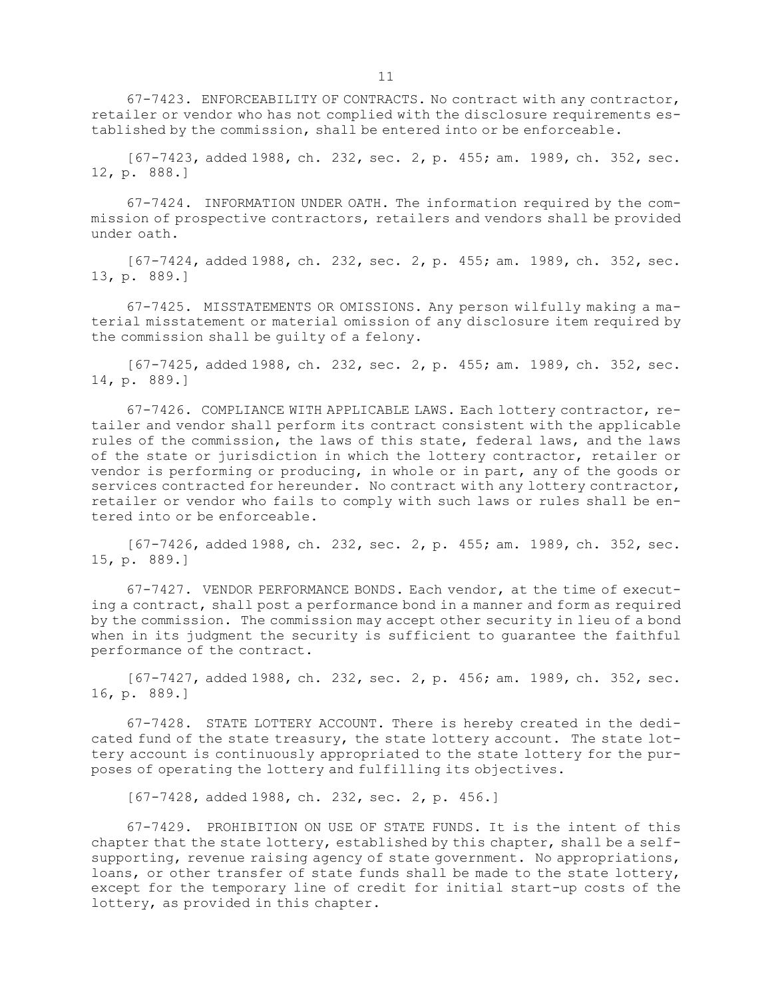67-7423. ENFORCEABILITY OF CONTRACTS. No contract with any contractor, retailer or vendor who has not complied with the disclosure requirements established by the commission, shall be entered into or be enforceable.

[67-7423, added 1988, ch. 232, sec. 2, p. 455; am. 1989, ch. 352, sec. 12, p. 888.]

67-7424. INFORMATION UNDER OATH. The information required by the commission of prospective contractors, retailers and vendors shall be provided under oath.

[67-7424, added 1988, ch. 232, sec. 2, p. 455; am. 1989, ch. 352, sec. 13, p. 889.]

67-7425. MISSTATEMENTS OR OMISSIONS. Any person wilfully making <sup>a</sup> material misstatement or material omission of any disclosure item required by the commission shall be guilty of <sup>a</sup> felony.

[67-7425, added 1988, ch. 232, sec. 2, p. 455; am. 1989, ch. 352, sec. 14, p. 889.]

67-7426. COMPLIANCE WITH APPLICABLE LAWS. Each lottery contractor, retailer and vendor shall perform its contract consistent with the applicable rules of the commission, the laws of this state, federal laws, and the laws of the state or jurisdiction in which the lottery contractor, retailer or vendor is performing or producing, in whole or in part, any of the goods or services contracted for hereunder. No contract with any lottery contractor, retailer or vendor who fails to comply with such laws or rules shall be entered into or be enforceable.

[67-7426, added 1988, ch. 232, sec. 2, p. 455; am. 1989, ch. 352, sec. 15, p. 889.]

67-7427. VENDOR PERFORMANCE BONDS. Each vendor, at the time of executing <sup>a</sup> contract, shall post <sup>a</sup> performance bond in <sup>a</sup> manner and form as required by the commission. The commission may accept other security in lieu of <sup>a</sup> bond when in its judgment the security is sufficient to guarantee the faithful performance of the contract.

[67-7427, added 1988, ch. 232, sec. 2, p. 456; am. 1989, ch. 352, sec. 16, p. 889.]

67-7428. STATE LOTTERY ACCOUNT. There is hereby created in the dedicated fund of the state treasury, the state lottery account. The state lottery account is continuously appropriated to the state lottery for the purposes of operating the lottery and fulfilling its objectives.

[67-7428, added 1988, ch. 232, sec. 2, p. 456.]

67-7429. PROHIBITION ON USE OF STATE FUNDS. It is the intent of this chapter that the state lottery, established by this chapter, shall be <sup>a</sup> selfsupporting, revenue raising agency of state government. No appropriations, loans, or other transfer of state funds shall be made to the state lottery, except for the temporary line of credit for initial start-up costs of the lottery, as provided in this chapter.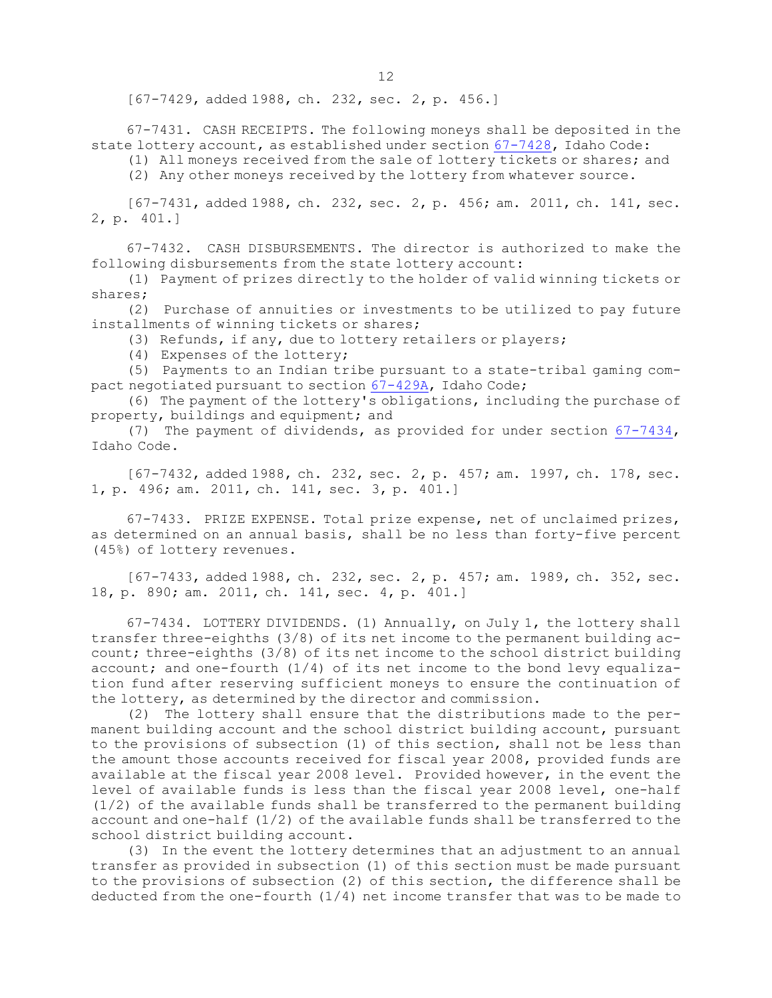[67-7429, added 1988, ch. 232, sec. 2, p. 456.]

67-7431. CASH RECEIPTS. The following moneys shall be deposited in the state lottery account, as established under section [67-7428](https://legislature.idaho.gov/statutesrules/idstat/Title67/T67CH74/SECT67-7428), Idaho Code:

(1) All moneys received from the sale of lottery tickets or shares; and

(2) Any other moneys received by the lottery from whatever source.

[67-7431, added 1988, ch. 232, sec. 2, p. 456; am. 2011, ch. 141, sec. 2, p. 401.]

67-7432. CASH DISBURSEMENTS. The director is authorized to make the following disbursements from the state lottery account:

(1) Payment of prizes directly to the holder of valid winning tickets or shares;

(2) Purchase of annuities or investments to be utilized to pay future installments of winning tickets or shares;

(3) Refunds, if any, due to lottery retailers or players;

(4) Expenses of the lottery;

(5) Payments to an Indian tribe pursuant to <sup>a</sup> state-tribal gaming compact negotiated pursuant to section [67-429A](https://legislature.idaho.gov/statutesrules/idstat/Title67/T67CH4/SECT67-429A), Idaho Code;

(6) The payment of the lottery's obligations, including the purchase of property, buildings and equipment; and

(7) The payment of dividends, as provided for under section [67-7434](https://legislature.idaho.gov/statutesrules/idstat/Title67/T67CH74/SECT67-7434), Idaho Code.

[67-7432, added 1988, ch. 232, sec. 2, p. 457; am. 1997, ch. 178, sec. 1, p. 496; am. 2011, ch. 141, sec. 3, p. 401.]

67-7433. PRIZE EXPENSE. Total prize expense, net of unclaimed prizes, as determined on an annual basis, shall be no less than forty-five percent (45%) of lottery revenues.

[67-7433, added 1988, ch. 232, sec. 2, p. 457; am. 1989, ch. 352, sec. 18, p. 890; am. 2011, ch. 141, sec. 4, p. 401.]

67-7434. LOTTERY DIVIDENDS. (1) Annually, on July 1, the lottery shall transfer three-eighths (3/8) of its net income to the permanent building account; three-eighths (3/8) of its net income to the school district building account; and one-fourth  $(1/4)$  of its net income to the bond levy equalization fund after reserving sufficient moneys to ensure the continuation of the lottery, as determined by the director and commission.

(2) The lottery shall ensure that the distributions made to the permanent building account and the school district building account, pursuant to the provisions of subsection (1) of this section, shall not be less than the amount those accounts received for fiscal year 2008, provided funds are available at the fiscal year 2008 level. Provided however, in the event the level of available funds is less than the fiscal year 2008 level, one-half (1/2) of the available funds shall be transferred to the permanent building account and one-half  $(1/2)$  of the available funds shall be transferred to the school district building account.

(3) In the event the lottery determines that an adjustment to an annual transfer as provided in subsection (1) of this section must be made pursuant to the provisions of subsection (2) of this section, the difference shall be deducted from the one-fourth  $(1/4)$  net income transfer that was to be made to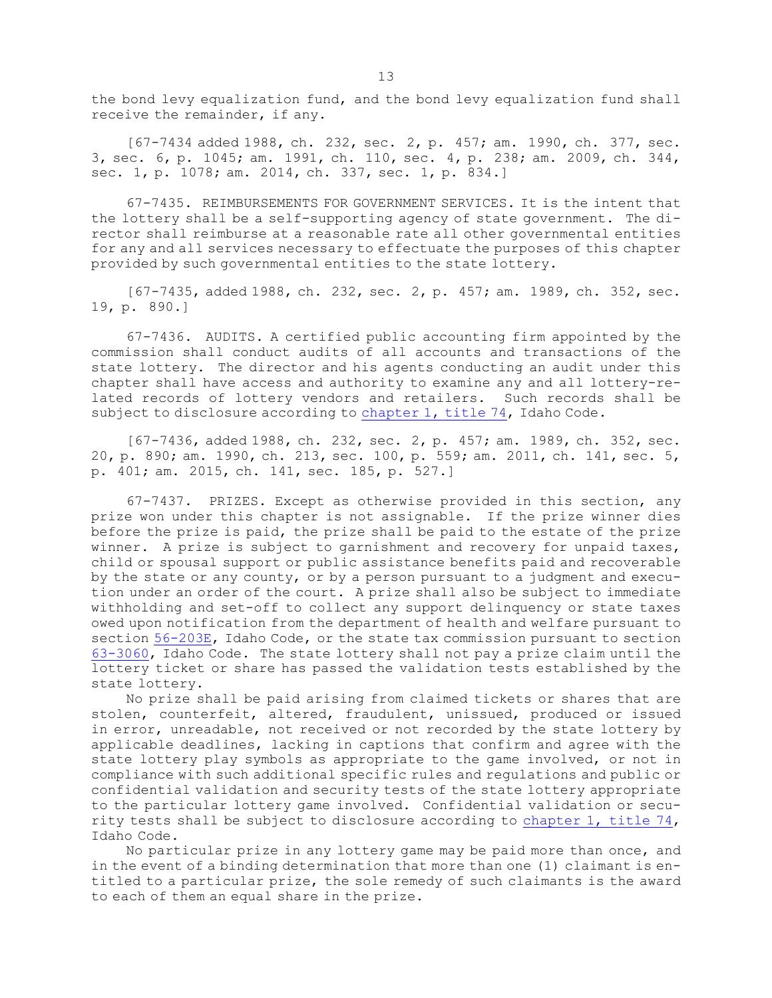the bond levy equalization fund, and the bond levy equalization fund shall receive the remainder, if any.

[67-7434 added 1988, ch. 232, sec. 2, p. 457; am. 1990, ch. 377, sec. 3, sec. 6, p. 1045; am. 1991, ch. 110, sec. 4, p. 238; am. 2009, ch. 344, sec. 1, p. 1078; am. 2014, ch. 337, sec. 1, p. 834.]

67-7435. REIMBURSEMENTS FOR GOVERNMENT SERVICES. It is the intent that the lottery shall be <sup>a</sup> self-supporting agency of state government. The director shall reimburse at <sup>a</sup> reasonable rate all other governmental entities for any and all services necessary to effectuate the purposes of this chapter provided by such governmental entities to the state lottery.

[67-7435, added 1988, ch. 232, sec. 2, p. 457; am. 1989, ch. 352, sec. 19, p. 890.]

67-7436. AUDITS. <sup>A</sup> certified public accounting firm appointed by the commission shall conduct audits of all accounts and transactions of the state lottery. The director and his agents conducting an audit under this chapter shall have access and authority to examine any and all lottery-related records of lottery vendors and retailers. Such records shall be subject to disclosure according to [chapter](https://legislature.idaho.gov/statutesrules/idstat/Title74/T74CH1) 1, title 74, Idaho Code.

[67-7436, added 1988, ch. 232, sec. 2, p. 457; am. 1989, ch. 352, sec. 20, p. 890; am. 1990, ch. 213, sec. 100, p. 559; am. 2011, ch. 141, sec. 5, p. 401; am. 2015, ch. 141, sec. 185, p. 527.]

67-7437. PRIZES. Except as otherwise provided in this section, any prize won under this chapter is not assignable. If the prize winner dies before the prize is paid, the prize shall be paid to the estate of the prize winner. <sup>A</sup> prize is subject to garnishment and recovery for unpaid taxes, child or spousal support or public assistance benefits paid and recoverable by the state or any county, or by <sup>a</sup> person pursuant to <sup>a</sup> judgment and execution under an order of the court. <sup>A</sup> prize shall also be subject to immediate withholding and set-off to collect any support delinquency or state taxes owed upon notification from the department of health and welfare pursuant to section [56-203E](https://legislature.idaho.gov/statutesrules/idstat/Title56/T56CH2/SECT56-203E), Idaho Code, or the state tax commission pursuant to section [63-3060](https://legislature.idaho.gov/statutesrules/idstat/Title63/T63CH30/SECT63-3060), Idaho Code. The state lottery shall not pay <sup>a</sup> prize claim until the lottery ticket or share has passed the validation tests established by the state lottery.

No prize shall be paid arising from claimed tickets or shares that are stolen, counterfeit, altered, fraudulent, unissued, produced or issued in error, unreadable, not received or not recorded by the state lottery by applicable deadlines, lacking in captions that confirm and agree with the state lottery play symbols as appropriate to the game involved, or not in compliance with such additional specific rules and regulations and public or confidential validation and security tests of the state lottery appropriate to the particular lottery game involved. Confidential validation or security tests shall be subject to disclosure according to [chapter](https://legislature.idaho.gov/statutesrules/idstat/Title74/T74CH1) 1, title  $74$ , Idaho Code.

No particular prize in any lottery game may be paid more than once, and in the event of <sup>a</sup> binding determination that more than one (1) claimant is entitled to <sup>a</sup> particular prize, the sole remedy of such claimants is the award to each of them an equal share in the prize.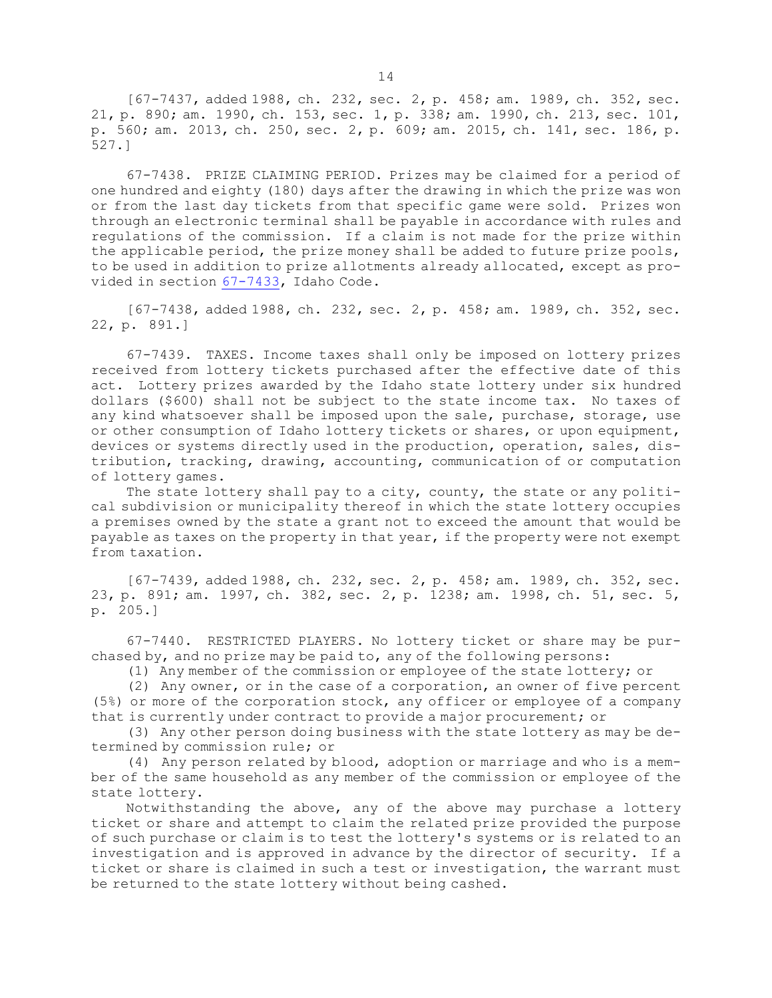[67-7437, added 1988, ch. 232, sec. 2, p. 458; am. 1989, ch. 352, sec. 21, p. 890; am. 1990, ch. 153, sec. 1, p. 338; am. 1990, ch. 213, sec. 101, p. 560; am. 2013, ch. 250, sec. 2, p. 609; am. 2015, ch. 141, sec. 186, p. 527.]

67-7438. PRIZE CLAIMING PERIOD. Prizes may be claimed for <sup>a</sup> period of one hundred and eighty (180) days after the drawing in which the prize was won or from the last day tickets from that specific game were sold. Prizes won through an electronic terminal shall be payable in accordance with rules and regulations of the commission. If <sup>a</sup> claim is not made for the prize within the applicable period, the prize money shall be added to future prize pools, to be used in addition to prize allotments already allocated, except as provided in section [67-7433](https://legislature.idaho.gov/statutesrules/idstat/Title67/T67CH74/SECT67-7433), Idaho Code.

[67-7438, added 1988, ch. 232, sec. 2, p. 458; am. 1989, ch. 352, sec. 22, p. 891.]

67-7439. TAXES. Income taxes shall only be imposed on lottery prizes received from lottery tickets purchased after the effective date of this act. Lottery prizes awarded by the Idaho state lottery under six hundred dollars (\$600) shall not be subject to the state income tax. No taxes of any kind whatsoever shall be imposed upon the sale, purchase, storage, use or other consumption of Idaho lottery tickets or shares, or upon equipment, devices or systems directly used in the production, operation, sales, distribution, tracking, drawing, accounting, communication of or computation of lottery games.

The state lottery shall pay to a city, county, the state or any political subdivision or municipality thereof in which the state lottery occupies <sup>a</sup> premises owned by the state <sup>a</sup> grant not to exceed the amount that would be payable as taxes on the property in that year, if the property were not exempt from taxation.

[67-7439, added 1988, ch. 232, sec. 2, p. 458; am. 1989, ch. 352, sec. 23, p. 891; am. 1997, ch. 382, sec. 2, p. 1238; am. 1998, ch. 51, sec. 5, p. 205.]

67-7440. RESTRICTED PLAYERS. No lottery ticket or share may be purchased by, and no prize may be paid to, any of the following persons:

(1) Any member of the commission or employee of the state lottery; or

(2) Any owner, or in the case of <sup>a</sup> corporation, an owner of five percent (5%) or more of the corporation stock, any officer or employee of <sup>a</sup> company that is currently under contract to provide <sup>a</sup> major procurement; or

(3) Any other person doing business with the state lottery as may be determined by commission rule; or

(4) Any person related by blood, adoption or marriage and who is <sup>a</sup> member of the same household as any member of the commission or employee of the state lottery.

Notwithstanding the above, any of the above may purchase <sup>a</sup> lottery ticket or share and attempt to claim the related prize provided the purpose of such purchase or claim is to test the lottery's systems or is related to an investigation and is approved in advance by the director of security. If <sup>a</sup> ticket or share is claimed in such <sup>a</sup> test or investigation, the warrant must be returned to the state lottery without being cashed.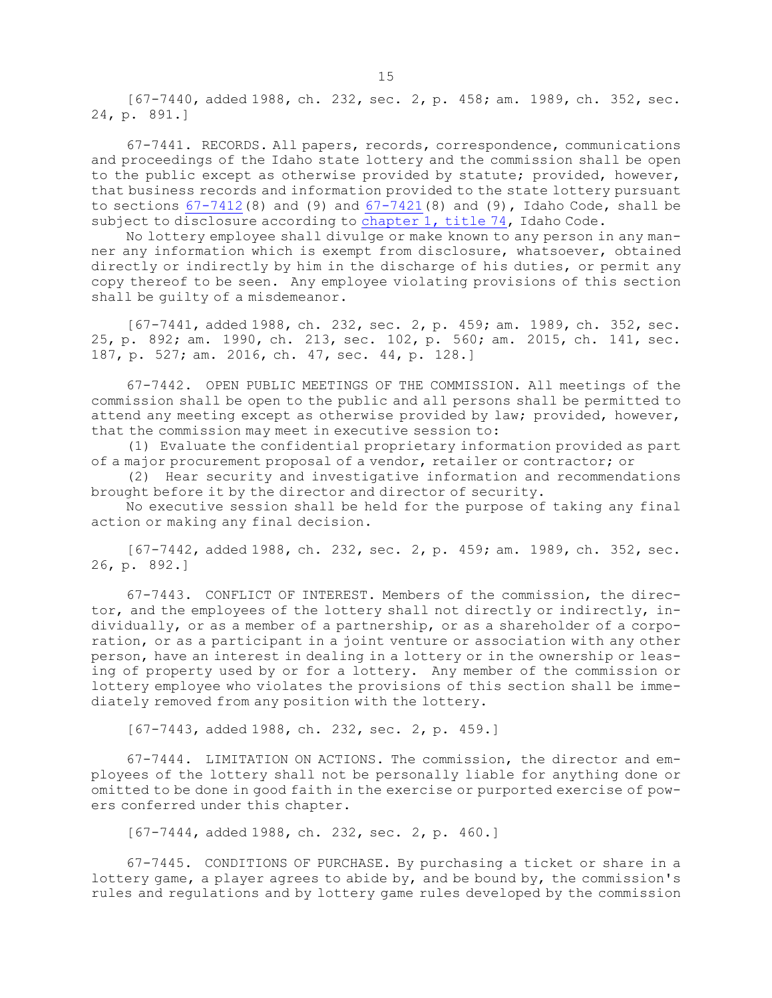[67-7440, added 1988, ch. 232, sec. 2, p. 458; am. 1989, ch. 352, sec. 24, p. 891.]

67-7441. RECORDS. All papers, records, correspondence, communications and proceedings of the Idaho state lottery and the commission shall be open to the public except as otherwise provided by statute; provided, however, that business records and information provided to the state lottery pursuant to sections  $67-7412(8)$  $67-7412(8)$  and (9) and  $67-7421(8)$  $67-7421(8)$  and (9), Idaho Code, shall be subject to disclosure according to [chapter](https://legislature.idaho.gov/statutesrules/idstat/Title74/T74CH1) 1, title 74, Idaho Code.

No lottery employee shall divulge or make known to any person in any manner any information which is exempt from disclosure, whatsoever, obtained directly or indirectly by him in the discharge of his duties, or permit any copy thereof to be seen. Any employee violating provisions of this section shall be guilty of <sup>a</sup> misdemeanor.

[67-7441, added 1988, ch. 232, sec. 2, p. 459; am. 1989, ch. 352, sec. 25, p. 892; am. 1990, ch. 213, sec. 102, p. 560; am. 2015, ch. 141, sec. 187, p. 527; am. 2016, ch. 47, sec. 44, p. 128.]

67-7442. OPEN PUBLIC MEETINGS OF THE COMMISSION. All meetings of the commission shall be open to the public and all persons shall be permitted to attend any meeting except as otherwise provided by law; provided, however, that the commission may meet in executive session to:

(1) Evaluate the confidential proprietary information provided as part of <sup>a</sup> major procurement proposal of <sup>a</sup> vendor, retailer or contractor; or

(2) Hear security and investigative information and recommendations brought before it by the director and director of security.

No executive session shall be held for the purpose of taking any final action or making any final decision.

[67-7442, added 1988, ch. 232, sec. 2, p. 459; am. 1989, ch. 352, sec. 26, p. 892.]

67-7443. CONFLICT OF INTEREST. Members of the commission, the director, and the employees of the lottery shall not directly or indirectly, individually, or as <sup>a</sup> member of <sup>a</sup> partnership, or as <sup>a</sup> shareholder of <sup>a</sup> corporation, or as <sup>a</sup> participant in <sup>a</sup> joint venture or association with any other person, have an interest in dealing in <sup>a</sup> lottery or in the ownership or leasing of property used by or for <sup>a</sup> lottery. Any member of the commission or lottery employee who violates the provisions of this section shall be immediately removed from any position with the lottery.

[67-7443, added 1988, ch. 232, sec. 2, p. 459.]

67-7444. LIMITATION ON ACTIONS. The commission, the director and employees of the lottery shall not be personally liable for anything done or omitted to be done in good faith in the exercise or purported exercise of powers conferred under this chapter.

[67-7444, added 1988, ch. 232, sec. 2, p. 460.]

67-7445. CONDITIONS OF PURCHASE. By purchasing <sup>a</sup> ticket or share in <sup>a</sup> lottery game, <sup>a</sup> player agrees to abide by, and be bound by, the commission's rules and regulations and by lottery game rules developed by the commission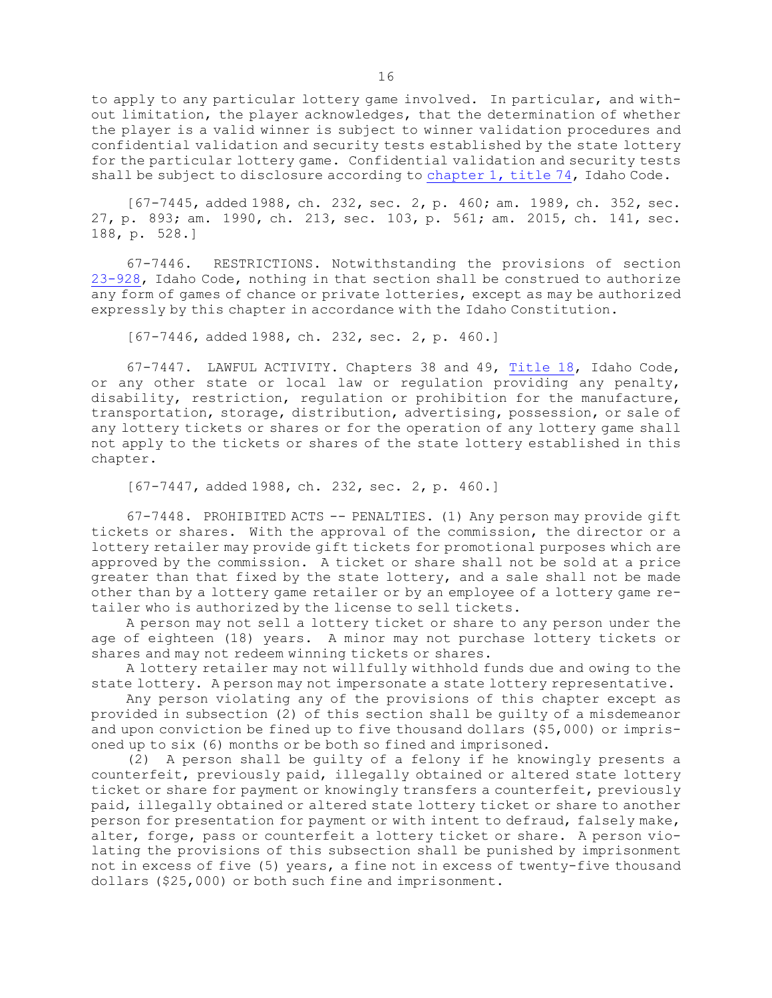to apply to any particular lottery game involved. In particular, and without limitation, the player acknowledges, that the determination of whether the player is <sup>a</sup> valid winner is subject to winner validation procedures and confidential validation and security tests established by the state lottery for the particular lottery game. Confidential validation and security tests shall be subject to disclosure according to [chapter](https://legislature.idaho.gov/statutesrules/idstat/Title74/T74CH1) 1, title 74, Idaho Code.

[67-7445, added 1988, ch. 232, sec. 2, p. 460; am. 1989, ch. 352, sec. 27, p. 893; am. 1990, ch. 213, sec. 103, p. 561; am. 2015, ch. 141, sec. 188, p. 528.]

67-7446. RESTRICTIONS. Notwithstanding the provisions of section [23-928](https://legislature.idaho.gov/statutesrules/idstat/Title23/T23CH9/SECT23-928), Idaho Code, nothing in that section shall be construed to authorize any form of games of chance or private lotteries, except as may be authorized expressly by this chapter in accordance with the Idaho Constitution.

[67-7446, added 1988, ch. 232, sec. 2, p. 460.]

67-7447. LAWFUL ACTIVITY. Chapters 38 and 49, [Title](https://legislature.idaho.gov/statutesrules/idstat/Title18/) 18, Idaho Code, or any other state or local law or regulation providing any penalty, disability, restriction, regulation or prohibition for the manufacture, transportation, storage, distribution, advertising, possession, or sale of any lottery tickets or shares or for the operation of any lottery game shall not apply to the tickets or shares of the state lottery established in this chapter.

[67-7447, added 1988, ch. 232, sec. 2, p. 460.]

67-7448. PROHIBITED ACTS -- PENALTIES. (1) Any person may provide gift tickets or shares. With the approval of the commission, the director or <sup>a</sup> lottery retailer may provide gift tickets for promotional purposes which are approved by the commission. <sup>A</sup> ticket or share shall not be sold at <sup>a</sup> price greater than that fixed by the state lottery, and <sup>a</sup> sale shall not be made other than by <sup>a</sup> lottery game retailer or by an employee of <sup>a</sup> lottery game retailer who is authorized by the license to sell tickets.

<sup>A</sup> person may not sell <sup>a</sup> lottery ticket or share to any person under the age of eighteen (18) years. <sup>A</sup> minor may not purchase lottery tickets or shares and may not redeem winning tickets or shares.

<sup>A</sup> lottery retailer may not willfully withhold funds due and owing to the state lottery. <sup>A</sup> person may not impersonate <sup>a</sup> state lottery representative.

Any person violating any of the provisions of this chapter except as provided in subsection (2) of this section shall be guilty of <sup>a</sup> misdemeanor and upon conviction be fined up to five thousand dollars (\$5,000) or imprisoned up to six (6) months or be both so fined and imprisoned.

(2) <sup>A</sup> person shall be guilty of <sup>a</sup> felony if he knowingly presents <sup>a</sup> counterfeit, previously paid, illegally obtained or altered state lottery ticket or share for payment or knowingly transfers <sup>a</sup> counterfeit, previously paid, illegally obtained or altered state lottery ticket or share to another person for presentation for payment or with intent to defraud, falsely make, alter, forge, pass or counterfeit <sup>a</sup> lottery ticket or share. <sup>A</sup> person violating the provisions of this subsection shall be punished by imprisonment not in excess of five (5) years, <sup>a</sup> fine not in excess of twenty-five thousand dollars (\$25,000) or both such fine and imprisonment.